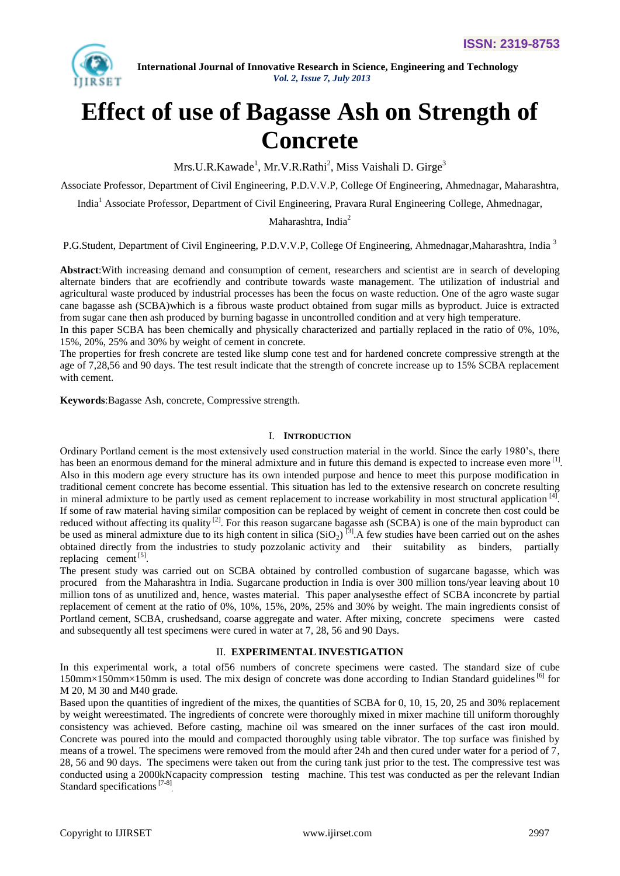

# **Effect of use of Bagasse Ash on Strength of Concrete**

Mrs.U.R.Kawade<sup>1</sup>, Mr.V.R.Rathi<sup>2</sup>, Miss Vaishali D. Girge<sup>3</sup>

Associate Professor, Department of Civil Engineering, P.D.V.V.P, College Of Engineering, Ahmednagar, Maharashtra,

India<sup>1</sup> Associate Professor, Department of Civil Engineering, Pravara Rural Engineering College, Ahmednagar,

Maharashtra, India<sup>2</sup>

P.G.Student, Department of Civil Engineering, P.D.V.V.P, College Of Engineering, Ahmednagar,Maharashtra, India<sup>3</sup>

**Abstract**:With increasing demand and consumption of cement, researchers and scientist are in search of developing alternate binders that are ecofriendly and contribute towards waste management. The utilization of industrial and agricultural waste produced by industrial processes has been the focus on waste reduction. One of the agro waste sugar cane bagasse ash (SCBA)which is a fibrous waste product obtained from sugar mills as byproduct. Juice is extracted from sugar cane then ash produced by burning bagasse in uncontrolled condition and at very high temperature.

In this paper SCBA has been chemically and physically characterized and partially replaced in the ratio of 0%, 10%, 15%, 20%, 25% and 30% by weight of cement in concrete.

The properties for fresh concrete are tested like slump cone test and for hardened concrete compressive strength at the age of 7,28,56 and 90 days. The test result indicate that the strength of concrete increase up to 15% SCBA replacement with cement.

**Keywords**:Bagasse Ash, concrete, Compressive strength.

## I. **INTRODUCTION**

Ordinary Portland cement is the most extensively used construction material in the world. Since the early 1980's, there has been an enormous demand for the mineral admixture and in future this demand is expected to increase even more <sup>[1]</sup>. Also in this modern age every structure has its own intended purpose and hence to meet this purpose modification in traditional cement concrete has become essential. This situation has led to the extensive research on concrete resulting in mineral admixture to be partly used as cement replacement to increase workability in most structural application  $^{[4]}$ . If some of raw material having similar composition can be replaced by weight of cement in concrete then cost could be reduced without affecting its quality  $^{[2]}$ . For this reason sugarcane bagasse ash (SCBA) is one of the main byproduct can be used as mineral admixture due to its high content in silica  $(SiO<sub>2</sub>)$ <sup>[3]</sup>. A few studies have been carried out on the ashes obtained directly from the industries to study pozzolanic activity and their suitability as binders, partially replacing cement  $^{[5]}$ .

The present study was carried out on SCBA obtained by controlled combustion of sugarcane bagasse, which was procured from the Maharashtra in India. Sugarcane production in India is over 300 million tons/year leaving about 10 million tons of as unutilized and, hence, wastes material. This paper analysesthe effect of SCBA inconcrete by partial replacement of cement at the ratio of 0%, 10%, 15%, 20%, 25% and 30% by weight. The main ingredients consist of Portland cement, SCBA, crushedsand, coarse aggregate and water. After mixing, concrete specimens were casted and subsequently all test specimens were cured in water at 7, 28, 56 and 90 Days.

#### II. **EXPERIMENTAL INVESTIGATION**

In this experimental work, a total of56 numbers of concrete specimens were casted. The standard size of cube  $150$ mm×150mm×150mm is used. The mix design of concrete was done according to Indian Standard guidelines <sup>[6]</sup> for M 20, M 30 and M40 grade.

Based upon the quantities of ingredient of the mixes, the quantities of SCBA for 0, 10, 15, 20, 25 and 30% replacement by weight wereestimated. The ingredients of concrete were thoroughly mixed in mixer machine till uniform thoroughly consistency was achieved. Before casting, machine oil was smeared on the inner surfaces of the cast iron mould. Concrete was poured into the mould and compacted thoroughly using table vibrator. The top surface was finished by means of a trowel. The specimens were removed from the mould after 24h and then cured under water for a period of 7, 28, 56 and 90 days. The specimens were taken out from the curing tank just prior to the test. The compressive test was conducted using a 2000kNcapacity compression testing machine. This test was conducted as per the relevant Indian Standard specifications<sup>[7-8]</sup>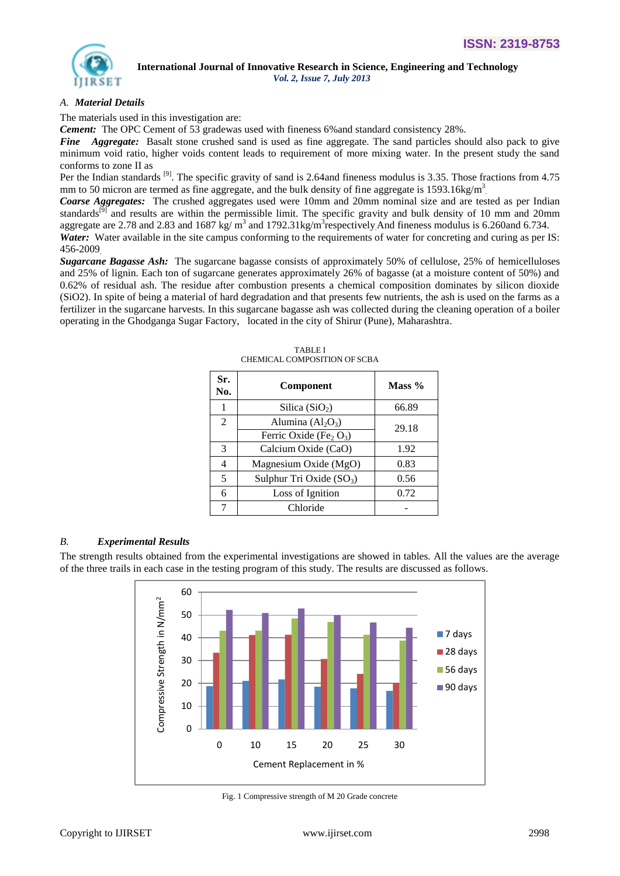

## *A. Material Details*

The materials used in this investigation are:

*Cement:* The OPC Cement of 53 gradewas used with fineness 6%and standard consistency 28%.

*Fine Aggregate:* Basalt stone crushed sand is used as fine aggregate. The sand particles should also pack to give minimum void ratio, higher voids content leads to requirement of more mixing water. In the present study the sand conforms to zone II as

Per the Indian standards  $^{[9]}$ . The specific gravity of sand is 2.64and fineness modulus is 3.35. Those fractions from 4.75 mm to 50 micron are termed as fine aggregate, and the bulk density of fine aggregate is  $1593.16$ kg/m<sup>3</sup>

*Coarse Aggregates:* The crushed aggregates used were 10mm and 20mm nominal size and are tested as per Indian standards<sup>[9]</sup> and results are within the permissible limit. The specific gravity and bulk density of 10 mm and 20mm aggregate are 2.78 and 2.83 and 1687 kg/ $m^3$  and 1792.31kg/ $m^3$ respectively And fineness modulus is 6.260and 6.734.

Water: Water available in the site campus conforming to the requirements of water for concreting and curing as per IS: 456-2009.

*Sugarcane Bagasse Ash:* The sugarcane bagasse consists of approximately 50% of cellulose, 25% of hemicelluloses and 25% of lignin. Each ton of sugarcane generates approximately 26% of bagasse (at a moisture content of 50%) and 0.62% of residual ash. The residue after combustion presents a chemical composition dominates by silicon dioxide (SiO2). In spite of being a material of hard degradation and that presents few nutrients, the ash is used on the farms as a fertilizer in the sugarcane harvests. In this sugarcane bagasse ash was collected during the cleaning operation of a boiler operating in the Ghodganga Sugar Factory, located in the city of Shirur (Pune), Maharashtra.

| Sr.<br>No.               | <b>Component</b>                               | Mass $\%$ |
|--------------------------|------------------------------------------------|-----------|
|                          | Silica $(SiO2)$                                | 66.89     |
| $\mathfrak{D}$           | Alumina $(Al2O3)$                              | 29.18     |
|                          | Ferric Oxide (Fe <sub>2</sub> O <sub>3</sub> ) |           |
| 3                        | Calcium Oxide (CaO)                            | 1.92      |
| 4                        | Magnesium Oxide (MgO)                          | 0.83      |
| $\overline{\phantom{0}}$ | Sulphur Tri Oxide $(SO_3)$                     | 0.56      |
| 6                        | Loss of Ignition                               | 0.72      |
|                          | Chloride                                       |           |

TABLE I CHEMICAL COMPOSITION OF SCBA

## *B. Experimental Results*

The strength results obtained from the experimental investigations are showed in tables. All the values are the average of the three trails in each case in the testing program of this study. The results are discussed as follows.



Fig. 1 Compressive strength of M 20 Grade concrete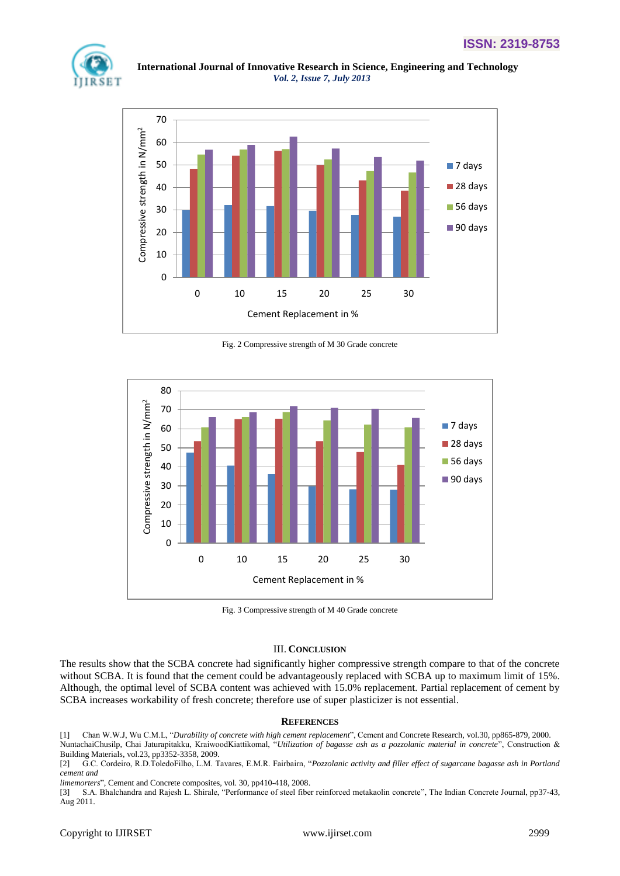



Fig. 2 Compressive strength of M 30 Grade concrete



Fig. 3 Compressive strength of M 40 Grade concrete

## III. **CONCLUSION**

The results show that the SCBA concrete had significantly higher compressive strength compare to that of the concrete without SCBA. It is found that the cement could be advantageously replaced with SCBA up to maximum limit of 15%. Although, the optimal level of SCBA content was achieved with 15.0% replacement. Partial replacement of cement by SCBA increases workability of fresh concrete; therefore use of super plasticizer is not essential.

#### **REFERENCES**

[1] Chan W.W.J, Wu C.M.L, "*Durability of concrete with high cement replacement*", Cement and Concrete Research, vol.30, pp865-879, 2000. NuntachaiChusilp, Chai Jaturapitakku, KraiwoodKiattikomal, "*Utilization of bagasse ash as a pozzolanic material in concrete*", Construction & Building Materials, vol.23, pp3352-3358, 2009.

[2] G.C. Cordeiro, R.D.ToledoFilho, L.M. Tavares, E.M.R. Fairbairn, "*Pozzolanic activity and filler effect of sugarcane bagasse ash in Portland cement and* 

*limemorters*", Cement and Concrete composites, vol. 30, pp410-418, 2008.

[3] S.A. Bhalchandra and Rajesh L. Shirale, "Performance of steel fiber reinforced metakaolin concrete", The Indian Concrete Journal, pp37-43, Aug 2011.